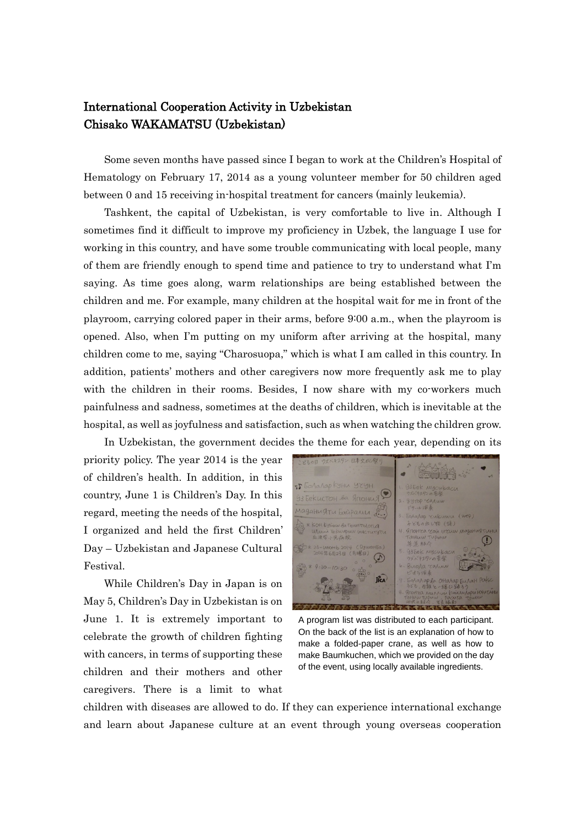## International Cooperation Activity in Uzbekistan Chisako WAKAMATSU (Uzbekistan)

Some seven months have passed since I began to work at the Children's Hospital of Hematology on February 17, 2014 as a young volunteer member for 50 children aged between 0 and 15 receiving in-hospital treatment for cancers (mainly leukemia).

Tashkent, the capital of Uzbekistan, is very comfortable to live in. Although I sometimes find it difficult to improve my proficiency in Uzbek, the language I use for working in this country, and have some trouble communicating with local people, many of them are friendly enough to spend time and patience to try to understand what I'm saying. As time goes along, warm relationships are being established between the children and me. For example, many children at the hospital wait for me in front of the playroom, carrying colored paper in their arms, before 9:00 a.m., when the playroom is opened. Also, when I'm putting on my uniform after arriving at the hospital, many children come to me, saying "Charosuopa," which is what I am called in this country. In addition, patients' mothers and other caregivers now more frequently ask me to play with the children in their rooms. Besides, I now share with my co-workers much painfulness and sadness, sometimes at the deaths of children, which is inevitable at the hospital, as well as joyfulness and satisfaction, such as when watching the children grow.

In Uzbekistan, the government decides the theme for each year, depending on its priority policy. The year 2014 is the year of children's health. In addition, in this country, June 1 is Children's Day. In this regard, meeting the needs of the hospital, I organized and held the first Children' Day – Uzbekistan and Japanese Cultural Festival.

While Children's Day in Japan is on May 5, Children's Day in Uzbekistan is on June 1. It is extremely important to celebrate the growth of children fighting with cancers, in terms of supporting these children and their mothers and other caregivers. There is a limit to what



A program list was distributed to each participant. On the back of the list is an explanation of how to make a folded-paper crane, as well as how to make Baumkuchen, which we provided on the day of the event, using locally available ingredients.

children with diseases are allowed to do. If they can experience international exchange and learn about Japanese culture at an event through young overseas cooperation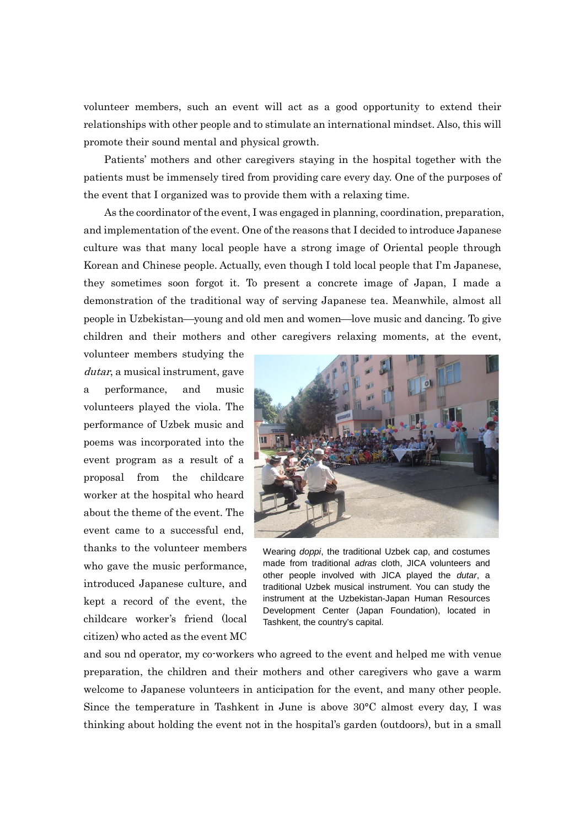volunteer members, such an event will act as a good opportunity to extend their relationships with other people and to stimulate an international mindset. Also, this will promote their sound mental and physical growth.

Patients' mothers and other caregivers staying in the hospital together with the patients must be immensely tired from providing care every day. One of the purposes of the event that I organized was to provide them with a relaxing time.

As the coordinator of the event, I was engaged in planning, coordination, preparation, and implementation of the event. One of the reasons that I decided to introduce Japanese culture was that many local people have a strong image of Oriental people through Korean and Chinese people. Actually, even though I told local people that I'm Japanese, they sometimes soon forgot it. To present a concrete image of Japan, I made a demonstration of the traditional way of serving Japanese tea. Meanwhile, almost all people in Uzbekistan—young and old men and women—love music and dancing. To give children and their mothers and other caregivers relaxing moments, at the event,

volunteer members studying the dutar, a musical instrument, gave a performance, and music volunteers played the viola. The performance of Uzbek music and poems was incorporated into the event program as a result of a proposal from the childcare worker at the hospital who heard about the theme of the event. The event came to a successful end, thanks to the volunteer members who gave the music performance, introduced Japanese culture, and kept a record of the event, the childcare worker's friend (local citizen) who acted as the event MC



Wearing *doppi*, the traditional Uzbek cap, and costumes made from traditional *adras* cloth, JICA volunteers and other people involved with JICA played the *dutar*, a traditional Uzbek musical instrument. You can study the instrument at the Uzbekistan-Japan Human Resources Development Center (Japan Foundation), located in Tashkent, the country's capital.

and sou nd operator, my co-workers who agreed to the event and helped me with venue preparation, the children and their mothers and other caregivers who gave a warm welcome to Japanese volunteers in anticipation for the event, and many other people. Since the temperature in Tashkent in June is above 30°C almost every day, I was thinking about holding the event not in the hospital's garden (outdoors), but in a small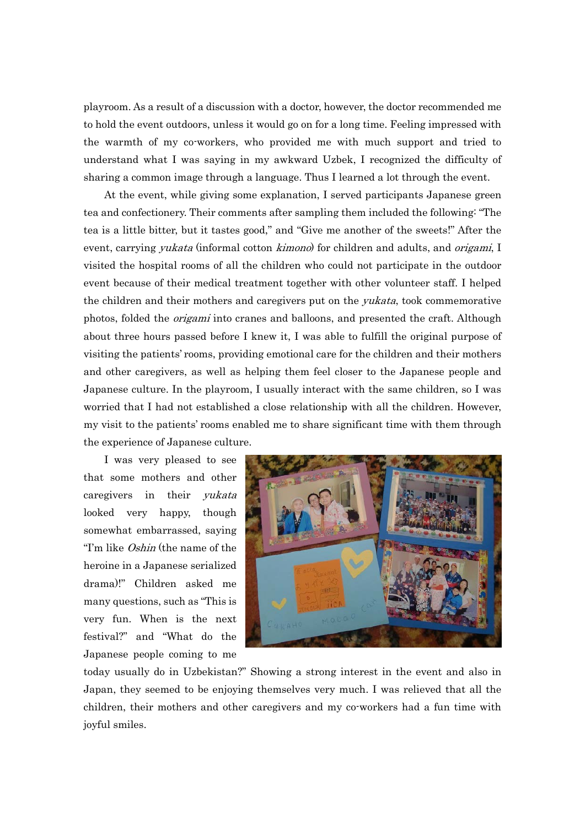playroom. As a result of a discussion with a doctor, however, the doctor recommended me to hold the event outdoors, unless it would go on for a long time. Feeling impressed with the warmth of my co-workers, who provided me with much support and tried to understand what I was saying in my awkward Uzbek, I recognized the difficulty of sharing a common image through a language. Thus I learned a lot through the event.

At the event, while giving some explanation, I served participants Japanese green tea and confectionery. Their comments after sampling them included the following: "The tea is a little bitter, but it tastes good," and "Give me another of the sweets!" After the event, carrying *yukata* (informal cotton *kimono*) for children and adults, and *origami*, I visited the hospital rooms of all the children who could not participate in the outdoor event because of their medical treatment together with other volunteer staff. I helped the children and their mothers and caregivers put on the *yukata*, took commemorative photos, folded the *origami* into cranes and balloons, and presented the craft. Although about three hours passed before I knew it, I was able to fulfill the original purpose of visiting the patients' rooms, providing emotional care for the children and their mothers and other caregivers, as well as helping them feel closer to the Japanese people and Japanese culture. In the playroom, I usually interact with the same children, so I was worried that I had not established a close relationship with all the children. However, my visit to the patients' rooms enabled me to share significant time with them through the experience of Japanese culture.

I was very pleased to see that some mothers and other caregivers in their yukata looked very happy, though somewhat embarrassed, saying "I'm like Oshin (the name of the heroine in a Japanese serialized drama)!" Children asked me many questions, such as "This is very fun. When is the next festival?" and "What do the Japanese people coming to me



today usually do in Uzbekistan?" Showing a strong interest in the event and also in Japan, they seemed to be enjoying themselves very much. I was relieved that all the children, their mothers and other caregivers and my co-workers had a fun time with joyful smiles.